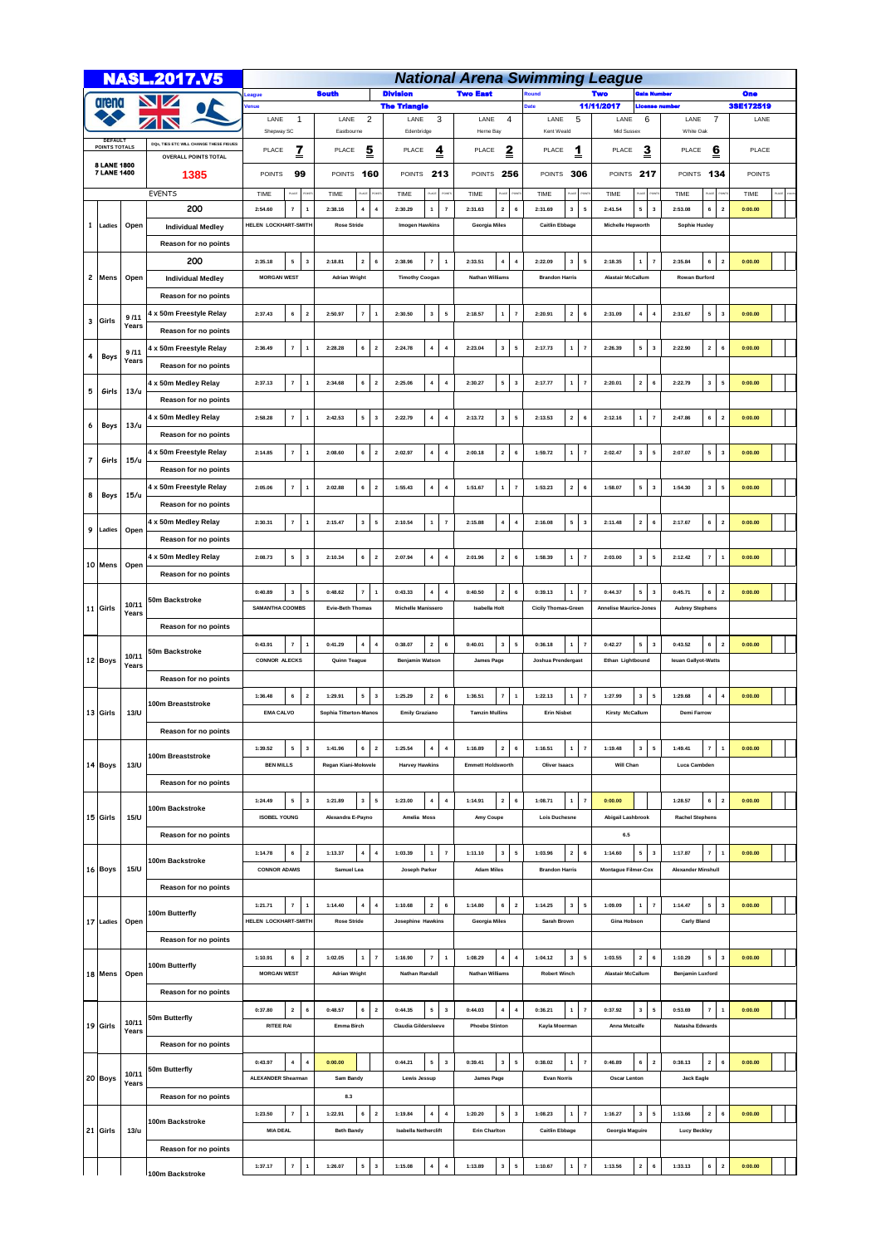|                                        |           |                | <b>NASL.2017.V5</b>                    | <b>National Arena Swimming League</b>              |                                                                                      |                                                          |                                                               |                                                      |                                                    |                                                               |               |  |  |  |  |
|----------------------------------------|-----------|----------------|----------------------------------------|----------------------------------------------------|--------------------------------------------------------------------------------------|----------------------------------------------------------|---------------------------------------------------------------|------------------------------------------------------|----------------------------------------------------|---------------------------------------------------------------|---------------|--|--|--|--|
|                                        |           |                |                                        | <b>South</b><br>League                             |                                                                                      | <b>Division</b>                                          | <b>Two East</b>                                               | <b>cound</b>                                         | Two<br>ala Number                                  | <b>One</b>                                                    |               |  |  |  |  |
| arena                                  |           |                |                                        | <u>lenue</u>                                       |                                                                                      | <b>The Triangle</b>                                      |                                                               |                                                      | 11/11/2017<br><b>License number</b>                |                                                               | 38E172519     |  |  |  |  |
|                                        |           |                |                                        | $\mathbf{1}$<br>LANE<br>Shepway SC                 | $\overline{c}$<br>LANE<br>Eastbourne                                                 | 3<br>LANE<br>Edenbridge                                  | 4<br>LANE<br>Herne Bay                                        | 5<br>LANE<br>Kent Weald                              | 6<br>LANE<br>Mid Sussex                            | 7<br>LANE<br>White Oak                                        | LANE          |  |  |  |  |
| <b>DEFAULT</b><br><b>POINTS TOTALS</b> |           |                | DOs, TIES ETC WILL CHANGE THESE FIGUES |                                                    |                                                                                      |                                                          |                                                               |                                                      |                                                    |                                                               |               |  |  |  |  |
|                                        |           |                | <b>OVERALL POINTS TOTAL</b>            | <u>z</u><br>PLACE                                  | PLACE<br><u>5</u>                                                                    | PLACE<br>$\overline{4}$                                  | $\overline{\mathbf{z}}$<br>PLACE                              | PLACE<br>1                                           | PLACE<br><u>3</u>                                  | PLACE<br><u>6</u>                                             | PLACE         |  |  |  |  |
| 8 LANE 1800<br><b>7 LANE 1400</b>      |           |                | 1385                                   | 99<br><b>POINTS</b>                                | POINTS 160                                                                           | POINTS 213                                               | 256<br><b>POINTS</b>                                          | POINTS 306                                           | POINTS 217                                         | POINTS 134                                                    | <b>POINTS</b> |  |  |  |  |
|                                        |           |                | <b>EVENTS</b>                          | TIME<br>PLACE                                      | TIME                                                                                 | TIME                                                     | TIME                                                          | TIME                                                 | TIME                                               | TIME<br>υċ                                                    | TIME          |  |  |  |  |
|                                        |           |                | 200                                    | 2:54.60<br>7                                       | $\overline{1}$<br>2:38.16<br>$\boldsymbol{4}$<br>4                                   | 2:30.29<br>$\scriptstyle\rm 7$<br>$\mathbf{1}$           | 2:31.63<br>$\mathbf{2}$<br>6                                  | $\sqrt{5}$<br>$\mathbf{3}$<br>2:31.69                | 2:41.54<br>5<br>$\overline{\mathbf{3}}$            | 2:53.08<br>6<br>$\mathbf 2$                                   | 0:00.00       |  |  |  |  |
| 1                                      | Ladies    | Open           | <b>Individual Medley</b>               | HELEN LOCKHART-SMITH                               | <b>Rose Stride</b>                                                                   | <b>Imogen Hawkins</b>                                    | Georgia Miles                                                 | <b>Caitlin Ebbage</b>                                | <b>Michelle Hepworth</b>                           | Sophie Huxley                                                 |               |  |  |  |  |
|                                        |           |                |                                        |                                                    |                                                                                      |                                                          |                                                               |                                                      |                                                    |                                                               |               |  |  |  |  |
|                                        |           | Open           | Reason for no points                   |                                                    |                                                                                      |                                                          |                                                               |                                                      |                                                    |                                                               |               |  |  |  |  |
|                                        |           |                | 200                                    | $\mathbf{5}$<br>$\vert$ 3<br>2:35.18               | $\overline{\mathbf{2}}$<br>$\,$ 6<br>2:18.81                                         | $\overline{\mathbf{r}}$<br>$\overline{1}$<br>2:38.96     | $\boldsymbol{4}$<br>2:33.51<br>$\overline{\mathbf{4}}$        | $3 \mid 5$<br>2:22.09                                | $\mathbf{1}$<br>2:18.35<br>$\overline{7}$          | 6<br>2:35.84<br>$\overline{\mathbf{2}}$                       | 0:00.00       |  |  |  |  |
|                                        | 2 Mens    |                | <b>Individual Medley</b>               | <b>MORGAN WEST</b>                                 | <b>Adrian Wright</b>                                                                 | <b>Timothy Coogan</b>                                    | <b>Nathan Williams</b>                                        | <b>Brandon Harris</b>                                | <b>Alastair McCallum</b>                           | <b>Rowan Burford</b>                                          |               |  |  |  |  |
|                                        |           |                | Reason for no points                   |                                                    |                                                                                      |                                                          |                                                               |                                                      |                                                    |                                                               |               |  |  |  |  |
| 3                                      | Girls     | 9/11           | 4 x 50m Freestyle Relay                | 6<br>2:37.43                                       | $\overline{\mathbf{2}}$<br>$\overline{\mathbf{r}}$<br>2:50.97<br>$\overline{1}$      | $\mathbf 3$<br>2:30.50<br>5                              | 2:18.57<br>$\mathbf{1}$<br>$\scriptstyle\rm 7$                | 2 <sup>1</sup><br>$6\phantom{a}$<br>2:20.91          | $\bf{4}$<br>2:31.09<br>$\overline{4}$              | 5<br>2:31.67<br>$\overline{\mathbf{3}}$                       | 0:00.00       |  |  |  |  |
|                                        |           | Years          | Reason for no points                   |                                                    |                                                                                      |                                                          |                                                               |                                                      |                                                    |                                                               |               |  |  |  |  |
| 4                                      | Boys      | 9/11           | 4 x 50m Freestyle Relay                | 2:36.49<br>$\overline{\mathbf{r}}$                 | $\overline{1}$<br>2:28.28<br>6<br>$\overline{\mathbf{2}}$                            | 2:24.78<br>$\overline{\bf 4}$<br>$\overline{\mathbf{4}}$ | 2:23.04<br>$\mathbf 3$<br>${\bf 5}$                           | $1 \mid$<br>2:17.73<br>$\scriptstyle\rm 7$           | 5<br>2:26.39<br>$\overline{\mathbf{3}}$            | 2:22.90<br>$\overline{\mathbf{2}}$<br>6                       | 0:00.00       |  |  |  |  |
|                                        |           | Years          | Reason for no points                   |                                                    |                                                                                      |                                                          |                                                               |                                                      |                                                    |                                                               |               |  |  |  |  |
|                                        |           |                | 4 x 50m Medley Relay                   | $\pmb{7}$<br>2:37.13                               | $\mathbf{2}$<br>$\overline{1}$<br>6<br>2:34.68                                       | 2:25.06<br>$\overline{4}$<br>$\overline{4}$              | 5<br>2:30.27<br>$\mathbf{3}$                                  | $\mathbf{1}$<br>$\overline{7}$<br>2:17.77            | $\overline{\mathbf{2}}$<br>2:20.01<br>6            | 2:22.79<br>$\mathbf 3$<br>5                                   | 0:00.00       |  |  |  |  |
| 5                                      | Girls     | 13/u           | Reason for no points                   |                                                    |                                                                                      |                                                          |                                                               |                                                      |                                                    |                                                               |               |  |  |  |  |
|                                        |           |                | 4 x 50m Medley Relay                   | $\scriptstyle\rm{7}$<br>2:58.28                    | $\overline{\mathbf{1}}$<br>2:42.53<br>5<br>$\overline{\mathbf{3}}$                   | 2:22.79<br>$\overline{\bf 4}$<br>$\boldsymbol{4}$        | 2:13.72<br>$\mathbf{3}$<br>${\bf 5}$                          | $\mathbf{2}^-$<br>2:13.53<br>$\,$ 6                  | 2:12.16<br>$\mathbf{1}$<br>$\overline{7}$          | 2:47.86<br>6<br>$\overline{\mathbf{2}}$                       | 0:00.00       |  |  |  |  |
| 6                                      | Boys      | 13/u           | Reason for no points                   |                                                    |                                                                                      |                                                          |                                                               |                                                      |                                                    |                                                               |               |  |  |  |  |
|                                        |           |                | 4 x 50m Freestyle Relay                | $\pmb{7}$<br>2:14.85                               | $\overline{1}$<br>2:08.60<br>6<br>$\overline{\mathbf{2}}$                            | 2:02.97<br>$\overline{\bf 4}$<br>$\boldsymbol{4}$        | 2:00.18<br>$\overline{\mathbf{2}}$<br>$\,$ 6                  | 1<br>1:59.72<br>$\overline{7}$                       | 2:02.47<br>$\mathbf{3}$<br>5                       | 5 <sub>1</sub><br>2:07.07<br>$\overline{\mathbf{3}}$          | 0:00.00       |  |  |  |  |
| $\overline{7}$                         | Girls     | 15/u           | Reason for no points                   |                                                    |                                                                                      |                                                          |                                                               |                                                      |                                                    |                                                               |               |  |  |  |  |
|                                        |           |                | 4 x 50m Freestyle Relay                | $\mathbf{7}$<br>$\overline{\mathbf{1}}$<br>2:05.06 | 6<br>$\overline{\mathbf{2}}$<br>2:02.88                                              | $\pmb{4}$<br>$\boldsymbol{4}$<br>1:55.43                 | 1<br>$\scriptstyle\rm 7$<br>1:51.67                           | 2 <sup>1</sup><br>$6\phantom{1}6$<br>1:53.23         | $\mathbf{5}$<br>1:58.07<br>$\overline{\mathbf{3}}$ | $\mathbf 3$<br>1:54.30<br>5                                   | 0:00.00       |  |  |  |  |
| 8                                      | Boys      | 15/u           | Reason for no points                   |                                                    |                                                                                      |                                                          |                                                               |                                                      |                                                    |                                                               |               |  |  |  |  |
|                                        |           |                |                                        |                                                    |                                                                                      |                                                          |                                                               |                                                      |                                                    |                                                               |               |  |  |  |  |
| 9                                      | Ladies    | Open           | 4 x 50m Medley Relay                   | $\scriptstyle\rm{7}$<br>2:30.31                    | 5<br>$\overline{1}$<br>2:15.47<br>$\mathbf{3}$                                       | $\scriptstyle\rm 7$<br>2:10.54<br>$\pmb{\mathsf{1}}$     | $\boldsymbol{4}$<br>2:15.88<br>$\boldsymbol{4}$               | 5 <sup>1</sup><br>$\overline{\mathbf{3}}$<br>2:16.08 | $\overline{\mathbf{2}}$<br>2:11.48<br>6            | 6<br>2:17.67<br>$\overline{\mathbf{2}}$                       | 0:00.00       |  |  |  |  |
|                                        |           |                | Reason for no points                   |                                                    |                                                                                      |                                                          |                                                               |                                                      |                                                    |                                                               |               |  |  |  |  |
|                                        | 10 Mens   | Open           | 4 x 50m Medley Relay                   | 2:08.73<br>5                                       | $\overline{\mathbf{3}}$<br>2:10.34<br>6<br>$\mathbf{2}$                              | 2:07.94<br>$\overline{\bf 4}$<br>$\boldsymbol{4}$        | 2:01.96<br>$\mathbf{2}$<br>$\,$ 6                             | 1:58.39<br>1<br>$\scriptstyle\rm 7$                  | 2:03.00<br>$\mathbf{3}$<br>5                       | 2:12.42<br>$\scriptstyle\rm{7}$<br>$\overline{1}$             | 0:00.00       |  |  |  |  |
|                                        |           |                | Reason for no points                   |                                                    |                                                                                      |                                                          |                                                               |                                                      |                                                    |                                                               |               |  |  |  |  |
|                                        |           | 10/11<br>Years | 50m Backstroke                         | $\mathbf{3}$<br>0:40.89                            | $\sqrt{5}$<br>$\overline{7}$<br>0:48.62<br>$\overline{1}$                            | $\overline{4}$<br>$\overline{4}$<br>0:43.33              | $\mathbf 2$<br>$\mathbf{6}$<br>0:40.50                        | $\mathbf{1}$<br>$\scriptstyle\rm 7$<br>0:39.13       | 5<br>0:44.37<br>$\overline{\mathbf{3}}$            | 6<br>0:45.71<br>$\overline{2}$                                | 0:00.00       |  |  |  |  |
|                                        | 11 Girls  |                |                                        | SAMANTHA COOMBS                                    | <b>Evie-Beth Thomas</b>                                                              | Michelle Manissero                                       | <b>Isabella Holt</b>                                          | <b>Cicily Thomas-Green</b>                           | <b>Annelise Maurice-Jones</b>                      | <b>Aubrey Stephens</b>                                        |               |  |  |  |  |
|                                        |           |                | Reason for no points                   |                                                    |                                                                                      |                                                          |                                                               |                                                      |                                                    |                                                               |               |  |  |  |  |
|                                        | 12 Boys   | 10/11<br>Years | 50m Backstroke                         | 0:43.91<br>$\pmb{7}$                               | $\overline{\mathbf{1}}$<br>0:41.29<br>$\boldsymbol{4}$<br>$\overline{\mathbf{4}}$    | 0:38.07<br>$\overline{\mathbf{2}}$<br>$\,$ 6             | 0:40.01<br>$\mathbf 3$<br>$\sqrt{5}$                          | 0:36.18<br>1<br>$\overline{7}$                       | ${\bf 5}$<br>0:42.27<br>$\overline{\mathbf{3}}$    | 0:43.52<br>6<br>$\overline{\mathbf{2}}$                       | 0:00.00       |  |  |  |  |
|                                        |           |                |                                        | <b>CONNOR ALECKS</b>                               | Quinn Teague                                                                         | <b>Benjamin Watson</b>                                   | James Page                                                    | <b>Joshua Prendergast</b>                            | Ethan Lightbound                                   | leuan Gallyot-Watts                                           |               |  |  |  |  |
|                                        |           |                | Reason for no points                   |                                                    |                                                                                      |                                                          |                                                               |                                                      |                                                    |                                                               |               |  |  |  |  |
|                                        |           |                | 100m Breaststroke                      | 6<br>1:36.48<br>$\overline{\mathbf{2}}$            | 1:29.91<br>5<br>$\overline{\mathbf{3}}$                                              | 1:25.29<br>$\overline{\mathbf{2}}$<br>6                  | 1:36.51<br>$\overline{7}$<br>$\overline{1}$                   | $1 \mid 7$<br>1:22.13                                | $\mathbf{3}$<br>1:27.99<br>5                       | 1:29.68<br>$\overline{\mathbf{4}}$<br>$\overline{\mathbf{4}}$ | 0:00.00       |  |  |  |  |
|                                        | 13 Girls  | 13/U           |                                        | <b>EMA CALVO</b>                                   | Sophia Titterton-Manos                                                               | <b>Emily Graziano</b>                                    | <b>Tamzin Mullins</b>                                         | <b>Erin Nisbet</b>                                   | Kirsty McCallum                                    | <b>Demi Farrow</b>                                            |               |  |  |  |  |
|                                        |           |                | Reason for no points                   |                                                    |                                                                                      |                                                          |                                                               |                                                      |                                                    |                                                               |               |  |  |  |  |
|                                        |           | 13/U           |                                        | 1:39.52<br>5                                       | $\overline{\mathbf{3}}$<br>1:41.96<br>6<br>$\overline{\mathbf{2}}$                   | 1:25.54<br>$\pmb{4}$<br>$\overline{4}$                   | 1:16.89<br>$\mathbf{2}$<br>$\,$ 6                             | $\scriptstyle\rm 7$<br>1:16.51<br>1                  | 1:19.48<br>$\mathbf{3}$<br>$\sqrt{5}$              | 1:49.41<br>$\scriptstyle\rm{7}$<br>$\overline{1}$             | 0:00.00       |  |  |  |  |
|                                        | 14 Boys   |                | 100m Breaststroke                      | <b>BEN MILLS</b>                                   | Regan Kiani-Mokwele                                                                  | <b>Harvey Hawkins</b>                                    | <b>Emmett Holdsworth</b>                                      | Oliver Isaacs                                        | Will Chan                                          | Luca Cambden                                                  |               |  |  |  |  |
|                                        |           |                | Reason for no points                   |                                                    |                                                                                      |                                                          |                                                               |                                                      |                                                    |                                                               |               |  |  |  |  |
|                                        |           |                |                                        | 5 <sub>1</sub><br>1:24.49                          | $\overline{\mathbf{3}}$<br>$\mathbf{3}$<br>$\sqrt{5}$<br>1:21.89                     | $\overline{\bf 4}$<br>$\overline{4}$<br>1:23.00          | $\mathbf{2}$<br>$\mathbf{6}$<br>1:14.91                       | $\scriptstyle\rm 7$<br>1<br>1:08.71                  | 0:00.00                                            | 6<br>1:28.57<br>$\overline{2}$                                | 0:00.00       |  |  |  |  |
|                                        | 15 Girls  | 15/U           | 100m Backstroke                        | <b>ISOBEL YOUNG</b>                                | Alexandra E-Payno                                                                    | Amelia Moss                                              | Amy Coupe                                                     | <b>Lois Duchesne</b>                                 | Abigail Lashbrook                                  | <b>Rachel Stephens</b>                                        |               |  |  |  |  |
|                                        |           |                | Reason for no points                   |                                                    |                                                                                      |                                                          |                                                               |                                                      | 6.5                                                |                                                               |               |  |  |  |  |
|                                        |           |                |                                        | 6<br>1:14.78                                       | $\overline{2}$<br>1:13.37<br>$\overline{\mathbf{4}}$<br>$\overline{4}$               | $\boldsymbol{\tau}$<br>$\mathbf{1}$<br>1:03.39           | 1:11.10<br>$\mathbf{3}$<br>${\bf 5}$                          | $\overline{\mathbf{2}}$<br>1:03.96<br>$\,$ 6         | 5<br>$\overline{\mathbf{3}}$<br>1:14.60            | $\overline{\mathbf{r}}$<br>1:17.87<br>$\overline{1}$          | 0:00.00       |  |  |  |  |
|                                        | 16 Boys   | 15/U           | 100m Backstroke                        | <b>CONNOR ADAMS</b>                                | Samuel Lea                                                                           | Joseph Parker                                            | <b>Adam Miles</b>                                             | <b>Brandon Harris</b>                                | <b>Montague Filmer-Cox</b>                         | <b>Alexander Minshull</b>                                     |               |  |  |  |  |
|                                        |           |                | Reason for no points                   |                                                    |                                                                                      |                                                          |                                                               |                                                      |                                                    |                                                               |               |  |  |  |  |
|                                        |           |                |                                        | 1:21.71<br>$\pmb{7}$                               | $\overline{\mathbf{1}}$<br>1:14.40<br>$\overline{\mathbf{4}}$<br>$\overline{\bf{4}}$ | $\mathbf{2}$<br>$\,$ 6<br>1:10.68                        | 1:14.80<br>6<br>$\mathbf 2$                                   | 1:14.25<br>$\mathbf{3}$<br>$\overline{\phantom{a}}$  | $\mathbf{1}$<br>1:09.09<br>$\overline{7}$          | 1:14.47<br>5<br>$\overline{\mathbf{3}}$                       | 0:00.00       |  |  |  |  |
|                                        | 17 Ladies | Open           | 100m Butterfly                         | HELEN LOCKHART-SMITH                               | <b>Rose Stride</b>                                                                   | <b>Josephine Hawkins</b>                                 | Georgia Miles                                                 | Sarah Brown                                          | Gina Hobson                                        | <b>Carly Bland</b>                                            |               |  |  |  |  |
|                                        |           |                |                                        |                                                    |                                                                                      |                                                          |                                                               |                                                      |                                                    |                                                               |               |  |  |  |  |
|                                        |           |                | Reason for no points                   |                                                    |                                                                                      |                                                          |                                                               |                                                      |                                                    |                                                               |               |  |  |  |  |
|                                        | 18 Mens   |                | 100m Butterfly                         | 6<br>1:10.91                                       | $\overline{\mathbf{2}}$<br>$\overline{7}$<br>1:02.05<br>1                            | $\overline{7}$<br>1:16.90<br>$\overline{1}$              | $\overline{\mathbf{4}}$<br>1:08.29<br>$\overline{\mathbf{4}}$ | $\mathbf{3}$<br>5<br>1:04.12                         | $\overline{\mathbf{2}}$<br>1:03.55<br>6            | 5<br>1:10.29<br>$\overline{\mathbf{3}}$                       | 0:00.00       |  |  |  |  |
|                                        |           | Open           |                                        | <b>MORGAN WEST</b>                                 | <b>Adrian Wright</b>                                                                 | <b>Nathan Randall</b>                                    | <b>Nathan Williams</b>                                        | <b>Robert Winch</b>                                  | <b>Alastair McCallum</b>                           | Benjamin Luxford                                              |               |  |  |  |  |
|                                        |           |                | Reason for no points                   |                                                    |                                                                                      |                                                          |                                                               |                                                      |                                                    |                                                               |               |  |  |  |  |
|                                        |           |                | 50m Butterfly                          | 0:37.80<br>$\overline{\mathbf{2}}$                 | $\,$ 6<br>0:48.57<br>6<br>$\mathbf{2}$                                               | 0:44.35<br>5<br>$\overline{\mathbf{3}}$                  | 0:44.03<br>$\overline{\mathbf{4}}$<br>$\boldsymbol{4}$        | 0:36.21<br>1<br>$\scriptstyle\rm 7$                  | 0:37.92<br>$\mathbf{3}$<br>5                       | 0:53.69<br>$\scriptstyle\rm{7}$<br>$\overline{1}$             | 0:00.00       |  |  |  |  |
|                                        | 19 Girls  | 10/11<br>Years |                                        | <b>RITEE RAI</b>                                   | Emma Birch                                                                           | Claudia Gildersleeve                                     | <b>Phoebe Stinton</b>                                         | Kayla Moerman                                        | Anna Metcalfe                                      | Natasha Edwards                                               |               |  |  |  |  |
|                                        |           |                | Reason for no points                   |                                                    |                                                                                      |                                                          |                                                               |                                                      |                                                    |                                                               |               |  |  |  |  |
|                                        |           |                | 50m Butterfly                          | $\overline{4}$<br>0:43.97                          | $\overline{4}$<br>0:00.00                                                            | 5<br>0:44.21<br>$\overline{\mathbf{3}}$                  | 0:39.41<br>3<br>5                                             | $\scriptstyle\rm 7$<br>0:38.02<br>$\mathbf{1}$       | 6<br>0:46.89<br>$\overline{2}$                     | 0:38.13<br>$\overline{2}$<br>6                                | 0:00.00       |  |  |  |  |
|                                        | 20 Boys   | 10/11<br>Years |                                        | <b>ALEXANDER Shearman</b>                          | Sam Bandy                                                                            | <b>Lewis Jessup</b>                                      | James Page                                                    | <b>Evan Norris</b>                                   | Oscar Lenton                                       | <b>Jack Eagle</b>                                             |               |  |  |  |  |
|                                        |           |                | Reason for no points                   |                                                    | 8.3                                                                                  |                                                          |                                                               |                                                      |                                                    |                                                               |               |  |  |  |  |
|                                        |           |                |                                        | 7<br>1:23.50                                       | 1:22.91<br>$\overline{1}$<br>6<br>$\overline{\mathbf{c}}$                            | $\overline{\bf 4}$<br>$\boldsymbol{4}$<br>1:19.84        | 1:20.20<br>5<br>$\mathbf{3}$                                  | $\mathbf{1}$<br>$\scriptstyle{7}$<br>1:08.23         | $\mathbf{3}$<br>1:16.27<br>5                       | $\mathbf 2$<br>1:13.66<br>6                                   | 0:00.00       |  |  |  |  |
|                                        | 21 Girls  | 13/u           | 100m Backstroke                        | <b>MIA DEAL</b>                                    | <b>Beth Bandy</b>                                                                    | <b>Isabella Netherclift</b>                              | <b>Erin Charlton</b>                                          | <b>Caitlin Ebbage</b>                                | Georgia Maguire                                    | <b>Lucy Beckley</b>                                           |               |  |  |  |  |
|                                        |           |                | Reason for no points                   |                                                    |                                                                                      |                                                          |                                                               |                                                      |                                                    |                                                               |               |  |  |  |  |
|                                        |           |                |                                        | $\pmb{7}$<br>1:37.17                               | 5<br>$\overline{1}$<br>1:26.07<br>$\overline{\mathbf{3}}$                            | $\boldsymbol{4}$<br>1:15.08<br>$\overline{4}$            | 1:13.89<br>$\mathbf 3$<br>${\bf 5}$                           | 1<br>$\overline{7}$<br>1:10.67                       | $\mathbf{2}$<br>1:13.56<br>6                       | 6<br>1:33.13<br>$\overline{\mathbf{2}}$                       | 0:00.00       |  |  |  |  |
|                                        |           |                | 100m Backstroke                        |                                                    |                                                                                      |                                                          |                                                               |                                                      |                                                    |                                                               |               |  |  |  |  |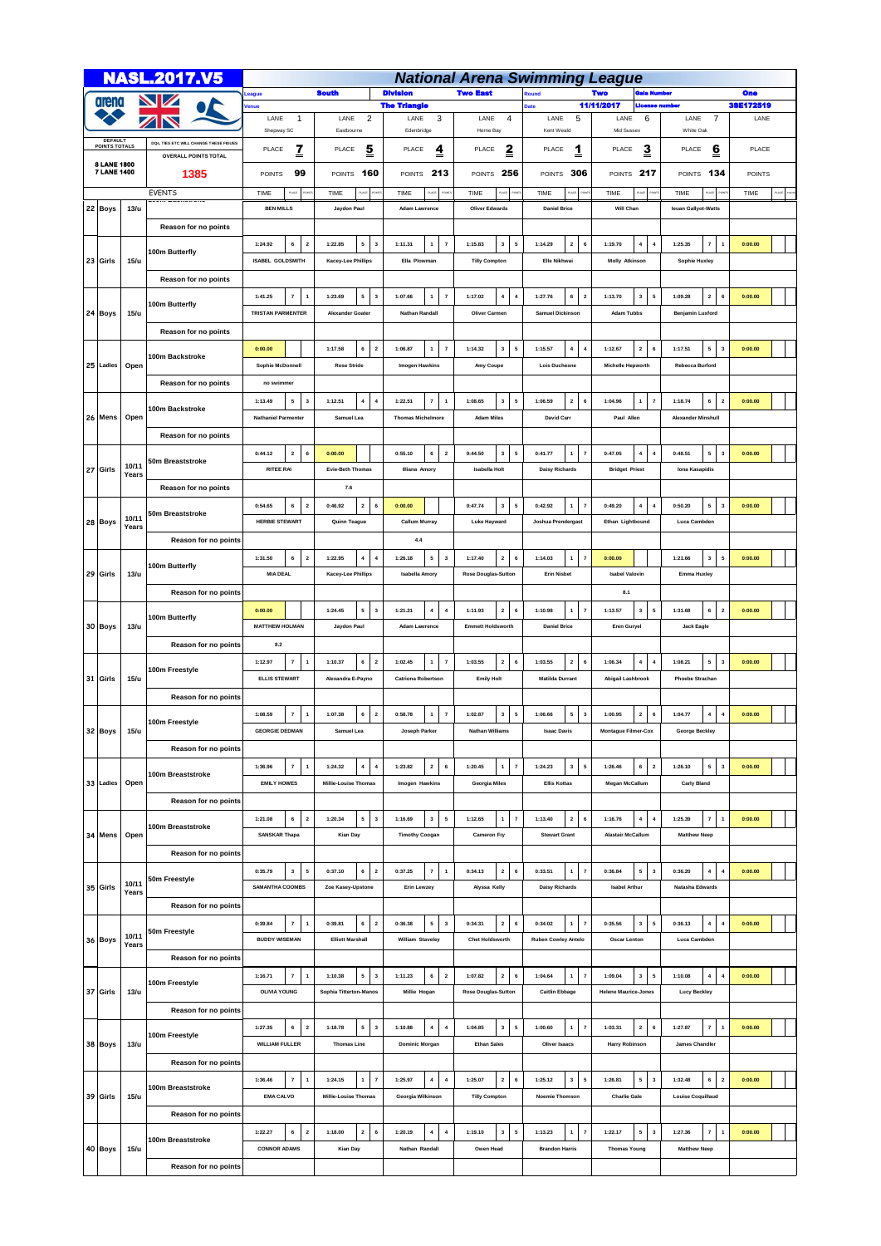|                                          |                                   |                | <b>NASL.2017.V5</b>                    | <b>National Arena Swimming League</b>             |                                                    |                                                    |                                                    |                                                       |                                                      |                                                         |           |  |  |  |  |  |
|------------------------------------------|-----------------------------------|----------------|----------------------------------------|---------------------------------------------------|----------------------------------------------------|----------------------------------------------------|----------------------------------------------------|-------------------------------------------------------|------------------------------------------------------|---------------------------------------------------------|-----------|--|--|--|--|--|
|                                          |                                   |                |                                        | <b>South</b><br>eague                             |                                                    | <b>Division</b>                                    | <b>Two East</b>                                    | <b>tound</b>                                          | Two                                                  | lala Number                                             |           |  |  |  |  |  |
| arena<br><b>DEFAULT</b><br>POINTS TOTALS |                                   |                | Z<br>$\overline{\phantom{a}}$          | enue                                              |                                                    | <b>The Triangle</b>                                |                                                    |                                                       | 11/11/2017<br>License number                         |                                                         | 3SE172519 |  |  |  |  |  |
|                                          |                                   |                |                                        | LANE<br>$\mathbf{1}$<br>Shepway SC                | $\overline{c}$<br>LANE<br>Eastbourne               | 3<br>LANE<br>Edenbridge                            | 4<br>LANE<br>Herne Bay                             | 5<br>LANE<br>Kent Weald                               | LANE<br>6<br>Mid Sussex                              | LANE<br>7<br>White Oak                                  | LANE      |  |  |  |  |  |
|                                          |                                   |                | DOS, TIES ETC WILL CHANGE THESE FIGUES |                                                   |                                                    |                                                    |                                                    |                                                       |                                                      |                                                         |           |  |  |  |  |  |
|                                          |                                   |                | <b>OVERALL POINTS TOTAL</b>            | $\overline{1}$<br>PLACE                           | <u>5</u><br>PLACE                                  | $\overline{\mathbf{z}}$<br>PLACE                   | $\overline{\mathbf{z}}$<br>PLACE                   | $\overline{1}$<br>PLACE                               | <u>3</u><br>PLACE                                    | <u>6</u><br>PLACE                                       | PLACE     |  |  |  |  |  |
|                                          | 8 LANE 1800<br><b>7 LANE 1400</b> |                | 1385                                   | 99<br><b>POINTS</b>                               | 160<br>POINTS                                      | POINTS 213                                         | 256<br><b>POINTS</b>                               | POINTS 306                                            | POINTS 217                                           | POINTS 134                                              | POINTS    |  |  |  |  |  |
|                                          |                                   |                | <b>EVENTS</b>                          | <b>UCE</b><br>TIME                                | TIME                                               | TIME                                               | TIME                                               | TIME                                                  | TIME                                                 | TIME                                                    | TIME      |  |  |  |  |  |
|                                          | 22 Boys                           | 13/u           |                                        | <b>BEN MILLS</b>                                  | Jaydon Paul                                        | <b>Adam Lawrence</b>                               | <b>Oliver Edwards</b>                              | <b>Daniel Brice</b>                                   | Will Chan                                            | leuan Gallyot-Watts                                     |           |  |  |  |  |  |
|                                          |                                   |                | Reason for no points                   |                                                   |                                                    |                                                    |                                                    |                                                       |                                                      |                                                         |           |  |  |  |  |  |
|                                          |                                   |                |                                        | 6<br>1:24.92<br>$\overline{\mathbf{2}}$           | 5<br>$\overline{\mathbf{3}}$<br>1:22.85            | $\scriptstyle\rm{7}$<br>1:11.31<br>$\mathbf{1}$    | 1:15.83<br>$\mathbf{3}$<br>${\bf 5}$               | $\overline{2}$<br>$\,$ 6<br>1:14.29                   | $\overline{4}$<br>1:19.70<br>$\overline{4}$          | $\overline{7}$<br>1:25.35<br>$\mathbf{1}$               | 0:00.00   |  |  |  |  |  |
|                                          |                                   | 15/u           | 100m Butterfly                         |                                                   |                                                    |                                                    | <b>Tilly Compton</b>                               |                                                       |                                                      |                                                         |           |  |  |  |  |  |
|                                          | 23 Girls                          |                |                                        | <b>ISABEL GOLDSMITH</b>                           | Kacey-Lee Phillips                                 | Ella Plowman                                       |                                                    | Elle Nikhwai                                          | <b>Molly Atkinson</b>                                | <b>Sophie Huxley</b>                                    |           |  |  |  |  |  |
|                                          |                                   |                | Reason for no points                   |                                                   |                                                    |                                                    |                                                    |                                                       |                                                      |                                                         |           |  |  |  |  |  |
|                                          | 24 Boys                           |                | 100m Butterfly                         | 1:41.25<br>$\pmb{7}$<br>$\mathbf 1$               | 1:23.69<br>5<br>$\mathbf 3$                        | 1:07.66<br>$\scriptstyle\rm 7$<br>$\mathbf{1}$     | 1:17.02<br>$\overline{\bf 4}$<br>$\boldsymbol{4}$  | 6 <sup>1</sup><br>1:27.76<br>$\overline{\mathbf{2}}$  | 1:13.70<br>$\mathbf{3}$<br>5                         | 1:09.28<br>$\mathbf{2}$<br>6                            | 0:00.00   |  |  |  |  |  |
|                                          |                                   | 15/u           |                                        | <b>TRISTAN PARMENTER</b>                          | <b>Alexander Goater</b>                            | <b>Nathan Randall</b>                              | <b>Oliver Carmen</b>                               | <b>Samuel Dickinson</b>                               | <b>Adam Tubbs</b>                                    | <b>Benjamin Luxford</b>                                 |           |  |  |  |  |  |
|                                          |                                   |                | Reason for no points                   |                                                   |                                                    |                                                    |                                                    |                                                       |                                                      |                                                         |           |  |  |  |  |  |
|                                          |                                   |                | 100m Backstroke                        | 0:00.00                                           | 6<br>$\overline{2}$<br>1:17.58                     | $\mathbf{1}$<br>$\overline{7}$<br>1:06.87          | $\mathbf 3$<br>${\bf 5}$<br>1:14.32                | $4 \mid 4$<br>1:15.57                                 | $\overline{\mathbf{2}}$<br>1:12.67<br>6              | 5<br>1:17.51<br>$\overline{\mathbf{3}}$                 | 0:00.00   |  |  |  |  |  |
|                                          | 25 Ladies                         | Open           |                                        | Sophie McDonnell                                  | <b>Rose Stride</b>                                 | <b>Imogen Hawkins</b>                              | Amy Coupe                                          | <b>Lois Duchesne</b>                                  | <b>Michelle Hepworth</b>                             | <b>Rebecca Burford</b>                                  |           |  |  |  |  |  |
|                                          |                                   |                | Reason for no points                   | no swimmer                                        |                                                    |                                                    |                                                    |                                                       |                                                      |                                                         |           |  |  |  |  |  |
|                                          |                                   |                |                                        | 1:13.49<br>5<br>$\mathbf 3$                       | 1:12.51<br>$\boldsymbol{4}$<br>$\boldsymbol{4}$    | 1:22.51<br>$\overline{\mathbf{r}}$<br>$\mathbf 1$  | 1:08.65<br>$\mathbf 3$<br>${\bf 5}$                | $2 \mid 6$<br>1:06.59                                 | 1:04.96<br>$\mathbf{1}$<br>$\bf{7}$                  | 1:18.74<br>6<br>$\mathbf{2}$                            | 0:00.00   |  |  |  |  |  |
|                                          | 26 Mens                           | Open           | 100m Backstroke                        | <b>Nathaniel Parmenter</b>                        | Samuel Lea                                         | <b>Thomas Michelmore</b>                           | <b>Adam Miles</b>                                  | <b>David Carr</b>                                     | Paul Allen                                           | <b>Alexander Minshull</b>                               |           |  |  |  |  |  |
|                                          |                                   |                | <b>Reason for no points</b>            |                                                   |                                                    |                                                    |                                                    |                                                       |                                                      |                                                         |           |  |  |  |  |  |
|                                          |                                   |                |                                        | 0:44.12<br>$\overline{2}$<br>$\mathbf 6$          | 0:00.00                                            | $\mathbf{2}$<br>0:55.10<br>6                       | $\mathbf 3$<br>${\bf 5}$<br>0:44.50                | 1<br>$\scriptstyle\rm 7$<br>0:41.77                   | $\overline{4}$<br>0:47.05<br>4                       | 0:48.51<br>5<br>$\overline{\mathbf{3}}$                 | 0:00.00   |  |  |  |  |  |
|                                          | 27 Girls                          | 10/11          | 50m Breaststroke                       | <b>RITEE RAI</b>                                  | <b>Evie-Beth Thomas</b>                            | Illiana Amory                                      | <b>Isabella Holt</b>                               | <b>Daisy Richards</b>                                 | <b>Bridget Priest</b>                                | Iona Kasapidis                                          |           |  |  |  |  |  |
|                                          |                                   | Years          | Reason for no points                   |                                                   | 7.6                                                |                                                    |                                                    |                                                       |                                                      |                                                         |           |  |  |  |  |  |
|                                          |                                   |                |                                        | 0:54.65<br>6<br>$\mathbf 2$                       | 0:46.92<br>$\mathbf{2}$<br>6                       | 0:00.00                                            | 0:47.74<br>3<br>${\bf 5}$                          | 0:42.92<br>1<br>$\overline{7}$                        | 0:49.20<br>$\boldsymbol{4}$<br>4                     | 0:50.20<br>5<br>3                                       | 0:00.00   |  |  |  |  |  |
|                                          | 28 Boys                           | 10/11          | 50m Breaststroke                       | <b>HERBIE STEWART</b>                             | Quinn Teague                                       | <b>Callum Murray</b>                               | Luke Hayward                                       | Joshua Prendergast                                    | Ethan Lightbound                                     | Luca Cambden                                            |           |  |  |  |  |  |
|                                          |                                   | Years          |                                        |                                                   |                                                    | 4.4                                                |                                                    |                                                       |                                                      |                                                         |           |  |  |  |  |  |
|                                          |                                   |                | Reason for no points<br>100m Butterfly | 6<br>$\overline{\mathbf{2}}$<br>1:31.50           | $\,$ 4 $\,$<br>$\overline{4}$<br>1:22.95           | 5<br>$\mathbf 3$<br>1:26.18                        | $\overline{\mathbf{2}}$<br>$\,$ 6<br>1:17.40       | $1$ 7<br>1:14.03                                      | 0:00.00                                              | 1:21.66<br>$\overline{\mathbf{3}}$<br>5                 | 0:00.00   |  |  |  |  |  |
|                                          | 29 Girls                          | 13/u           |                                        | <b>MIA DEAL</b>                                   | <b>Kacey-Lee Phillips</b>                          | <b>Isabella Amory</b>                              | Rose Douglas-Sutton                                | <b>Erin Nisbet</b>                                    | <b>Isabel Valovin</b>                                | <b>Emma Huxley</b>                                      |           |  |  |  |  |  |
|                                          |                                   |                |                                        |                                                   |                                                    |                                                    |                                                    |                                                       |                                                      |                                                         |           |  |  |  |  |  |
|                                          | 30 Boys                           | 13/u           | Reason for no points                   |                                                   |                                                    |                                                    |                                                    |                                                       | 8.1                                                  |                                                         |           |  |  |  |  |  |
|                                          |                                   |                | 100m Butterfly                         | 0:00.00                                           | 1:24.45<br>5<br>$\overline{\mathbf{3}}$            | 1:21.21<br>$\overline{4}$<br>$\boldsymbol{4}$      | 1:11.93<br>$\overline{\mathbf{2}}$<br>$\,$ 6       | 1:10.98<br>$\mathbf{1}$<br>$\scriptstyle{7}$          | 1:13.57<br>3<br>$\overline{\phantom{a}}$             | 1:31.68<br>6<br>$\mathbf 2$                             | 0:00.00   |  |  |  |  |  |
|                                          |                                   |                |                                        | <b>MATTHEW HOLMAN</b>                             | Jaydon Paul                                        | <b>Adam Lawrence</b>                               | <b>Emmett Holdsworth</b>                           | <b>Daniel Brice</b>                                   | <b>Eren Guryel</b>                                   | Jack Eagle                                              |           |  |  |  |  |  |
|                                          |                                   |                | Reason for no points                   | 8.2                                               |                                                    |                                                    |                                                    |                                                       |                                                      |                                                         |           |  |  |  |  |  |
|                                          | 31 Girls                          | 15/u           | 100m Freestyle                         | $\pmb{7}$<br>1:12.97<br>$\mathbf{1}$              | 6<br>1:10.37<br>$\overline{2}$                     | $\scriptstyle\rm 7$<br>1:02.45<br>$\mathbf{1}$     | $\overline{\mathbf{2}}$<br>1:03.55<br>6            | $\overline{\mathbf{2}}$<br>1:03.55<br>6               | $\overline{\mathbf{4}}$<br>1:06.34<br>$\overline{4}$ | 1:08.21<br>5<br>$\overline{\mathbf{3}}$                 | 0:00.00   |  |  |  |  |  |
|                                          |                                   |                |                                        | <b>ELLIS STEWART</b>                              | Alexandra E-Payno                                  | <b>Catriona Robertson</b>                          | <b>Emily Holt</b>                                  | <b>Matilda Durrant</b>                                | Abigail Lashbrook                                    | <b>Phoebe Strachan</b>                                  |           |  |  |  |  |  |
|                                          |                                   |                | Reason for no points                   |                                                   |                                                    |                                                    |                                                    |                                                       |                                                      |                                                         |           |  |  |  |  |  |
|                                          |                                   |                | 100m Freestyle                         | 1:08.59<br>$\pmb{7}$<br>$\overline{1}$            | 1:07.38<br>6<br>$\overline{\mathbf{2}}$            | 0:58.78<br>$\scriptstyle\rm{7}$<br>$\mathbf{1}$    | 1:02.87<br>$\mathbf 3$<br>${\bf 5}$                | ${\bf 5}$<br>1:06.66<br>$\overline{\mathbf{3}}$       | 1:00.95<br>$\overline{\mathbf{2}}$<br>6              | 1:04.77<br>$\boldsymbol{4}$<br>$\boldsymbol{4}$         | 0:00.00   |  |  |  |  |  |
|                                          | 32 Roys                           | 15/u           |                                        | <b>GEORGIE DEDMAN</b>                             | Samuel                                             |                                                    | <b>Nathan Willis</b>                               | <b>Isaac Davis</b>                                    | <b>Montague Film</b><br>er-Cox                       | George Beckley                                          |           |  |  |  |  |  |
|                                          |                                   |                | Reason for no points                   |                                                   |                                                    |                                                    |                                                    |                                                       |                                                      |                                                         |           |  |  |  |  |  |
|                                          |                                   |                | 100m Breaststroke                      | $\overline{\mathbf{7}}$<br>$\mathbf 1$<br>1:36.96 | $\,$ 4 $\,$<br>1:24.32<br>$\sqrt{4}$               | $\mathbf 2$<br>$\mathbf 6$<br>1:23.82              | 1:20.45<br>$\mathbf{1}$<br>$\scriptstyle\rm 7$     | $3 \mid 5$<br>1:24.23                                 | $\mathbf 6$<br>$\overline{\mathbf{2}}$<br>1:26.46    | 5<br>1:26.10<br>$\mathbf{3}$                            | 0:00.00   |  |  |  |  |  |
|                                          | 33 Ladies                         | Open           |                                        | <b>EMILY HOWES</b>                                | Millie-Louise Thomas                               | Imogen Hawkins                                     | Georgia Miles                                      | <b>Ellis Kottas</b>                                   | <b>Megan McCallum</b>                                | <b>Carly Bland</b>                                      |           |  |  |  |  |  |
|                                          |                                   |                | Reason for no points                   |                                                   |                                                    |                                                    |                                                    |                                                       |                                                      |                                                         |           |  |  |  |  |  |
|                                          |                                   |                | 100m Breaststroke                      | 6<br>$\mathbf{2}$<br>1:21.08                      | 5<br>1:20.34<br>$\overline{\mathbf{3}}$            | ${\bf 5}$<br>1:16.69<br>$\mathbf 3$                | 1:12.65<br>$\mathbf{1}$<br>$\scriptstyle\rm 7$     | 2 <sup>1</sup><br>$6\phantom{a}$<br>1:13.40           | $\bf{4}$<br>1:16.76<br>$\overline{4}$                | 1:25.39<br>$\scriptstyle\rm{7}$<br>$\ddot{\phantom{1}}$ | 0:00.00   |  |  |  |  |  |
|                                          | 34 Mens                           | Open           |                                        | <b>SANSKAR Thapa</b>                              | <b>Kian Day</b>                                    | <b>Timothy Coogan</b>                              | <b>Cameron Fry</b>                                 | <b>Stewart Grant</b>                                  | <b>Alastair McCallum</b>                             | <b>Matthew Neep</b>                                     |           |  |  |  |  |  |
|                                          |                                   |                | Reason for no points                   |                                                   |                                                    |                                                    |                                                    |                                                       |                                                      |                                                         |           |  |  |  |  |  |
|                                          |                                   |                |                                        | $\mathbf{3}$<br>${\bf 5}$<br>0:35.79              | $\mathbf 6$<br>0:37.10<br>$\overline{2}$           | $\overline{\mathbf{r}}$<br>$\mathbf{1}$<br>0:37.25 | $\mathbf{2}$<br>$\mathbf{6}$<br>0:34.13            | $1 \mid$<br>$\overline{7}$<br>0:33.51                 | $\mathbf 5$<br>0:36.84<br>$\overline{\mathbf{3}}$    | $\boldsymbol{4}$<br>0:36.20<br>$\overline{4}$           | 0:00.00   |  |  |  |  |  |
|                                          | 35 Girls                          | 10/11<br>Years | 50m Freestyle                          | <b>SAMANTHA COOMBS</b>                            | Zoe Kasey-Upstone                                  | Erin Lewzey                                        | Alyssa Kelly                                       | <b>Daisy Richards</b>                                 | <b>Isabel Arthur</b>                                 | Natasha Edwards                                         |           |  |  |  |  |  |
|                                          |                                   |                | Reason for no points                   |                                                   |                                                    |                                                    |                                                    |                                                       |                                                      |                                                         |           |  |  |  |  |  |
|                                          |                                   |                |                                        | 0:39.84<br>$\pmb{7}$<br>$\overline{1}$            | 0:39.81<br>6<br>$\overline{\mathbf{2}}$            | 0:36.38<br>5<br>$\mathbf 3$                        | $\mathbf{6}$<br>0:34.31<br>$\overline{\mathbf{2}}$ | $\overline{7}$<br>0:34.02<br>1                        | 0:35.56<br>$\mathbf{3}$<br>$\overline{\phantom{a}}$  | 0:36.13<br>$\boldsymbol{4}$<br>$\boldsymbol{4}$         | 0:00.00   |  |  |  |  |  |
|                                          | 36 Boys                           | 10/11<br>Years | 50m Freestyle                          | <b>BUDDY WISEMAN</b>                              | <b>Elliott Marshall</b>                            | <b>William Staveley</b>                            | <b>Chet Holdsworth</b>                             | <b>Ruben Cowley Antelo</b>                            | Oscar Lenton                                         | Luca Cambden                                            |           |  |  |  |  |  |
|                                          |                                   |                | Reason for no points                   |                                                   |                                                    |                                                    |                                                    |                                                       |                                                      |                                                         |           |  |  |  |  |  |
|                                          | 37 Girls                          |                |                                        | 1:16.71<br>$\pmb{7}$<br>$\overline{1}$            | 1:10.38<br>5<br>$\overline{\mathbf{3}}$            | 1:11.23<br>6<br>$\mathbf{2}$                       | 1:07.82<br>$\overline{\mathbf{2}}$<br>$\,$ 6       | 1:04.64<br>1<br>$\overline{7}$                        | 1:09.04<br>$\mathbf{3}$<br>5                         | 1:10.08<br>$\boldsymbol{4}$<br>$\overline{4}$           | 0:00.00   |  |  |  |  |  |
|                                          |                                   | 13/u           | 100m Freestyle                         | <b>OLIVIA YOUNG</b>                               | <b>Sophia Titterton-Manos</b>                      | Millie Hogan                                       | <b>Rose Douglas-Sutton</b>                         | <b>Caitlin Ebbage</b>                                 | <b>Helene Maurice-Jones</b>                          | <b>Lucy Beckley</b>                                     |           |  |  |  |  |  |
|                                          |                                   |                | Reason for no points                   |                                                   |                                                    |                                                    |                                                    |                                                       |                                                      |                                                         |           |  |  |  |  |  |
|                                          |                                   | 13/u           |                                        | 1:27.35<br>6<br>$\overline{\mathbf{2}}$           | 1:18.78<br>5<br>$\overline{\mathbf{3}}$            | $\boldsymbol{4}$<br>1:10.88<br>$\overline{\bf{4}}$ | 1:04.85<br>${\bf 5}$<br>3                          | $\overline{7}$<br>1:00.60<br>1                        | 1:03.31<br>$\overline{2}$<br>6                       | 1:27.87<br>$\overline{1}$<br>$\overline{7}$             | 0:00.00   |  |  |  |  |  |
|                                          |                                   |                | 100m Freestyle                         | <b>WILLIAM FULLER</b>                             | <b>Thomas Line</b>                                 | <b>Dominic Morgan</b>                              | <b>Ethan Sales</b>                                 | Oliver Isaacs                                         | <b>Harry Robinson</b>                                | James Chandler                                          |           |  |  |  |  |  |
|                                          | 38 Boys                           |                |                                        |                                                   |                                                    |                                                    |                                                    |                                                       |                                                      |                                                         |           |  |  |  |  |  |
|                                          |                                   |                | Reason for no points                   |                                                   |                                                    |                                                    |                                                    |                                                       |                                                      |                                                         |           |  |  |  |  |  |
|                                          |                                   |                | 100m Breaststroke                      | 1:36.46<br>$\pmb{7}$<br>$\mathbf{1}$              | 1:24.15<br>$\mathbf{1}$<br>$\overline{\mathbf{r}}$ | 1:25.97<br>$\pmb{4}$<br>$\boldsymbol{4}$           | 1:25.07<br>$\overline{\mathbf{2}}$<br>$\,$ 6       | 1:25.12<br>3 <sup>1</sup><br>$\overline{\phantom{a}}$ | 1:26.81<br>5<br>$\mathbf{3}$                         | 1:32.48<br>6<br>$\mathbf{2}$                            | 0:00.00   |  |  |  |  |  |
|                                          | 39 Girls                          | 15/u           |                                        | <b>EMA CALVO</b>                                  | Millie-Louise Thomas                               | Georgia Wilkinson                                  | <b>Tilly Compton</b>                               | Noemie Thomson                                        | <b>Charlie Gale</b>                                  | <b>Louise Coquillaud</b>                                |           |  |  |  |  |  |
|                                          |                                   |                | Reason for no points                   |                                                   |                                                    |                                                    |                                                    |                                                       |                                                      |                                                         |           |  |  |  |  |  |
|                                          |                                   |                | 100m Breaststroke                      | 6<br>1:22.27<br>$\overline{\mathbf{2}}$           | 1:18.00<br>$\overline{\mathbf{2}}$<br>6            | $\overline{4}$<br>1:20.19<br>$\overline{\bf{4}}$   | 1:19.10<br>$\overline{\mathbf{3}}$<br>5            | 1:13.23<br>$\mathbf{1}$<br>$\scriptstyle\rm 7$        | 5<br>1:22.17<br>$\overline{\mathbf{3}}$              | 1:27.36<br>$\overline{7}$<br>$\mathbf{1}$               | 0:00.00   |  |  |  |  |  |
|                                          | 40 Boys                           | 15/u           |                                        | <b>CONNOR ADAMS</b>                               | Kian Day                                           | Nathan Randall                                     | Owen Head                                          | <b>Brandon Harris</b>                                 | <b>Thomas Young</b>                                  | <b>Matthew Neep</b>                                     |           |  |  |  |  |  |
|                                          |                                   |                | Reason for no points                   |                                                   |                                                    |                                                    |                                                    |                                                       |                                                      |                                                         |           |  |  |  |  |  |